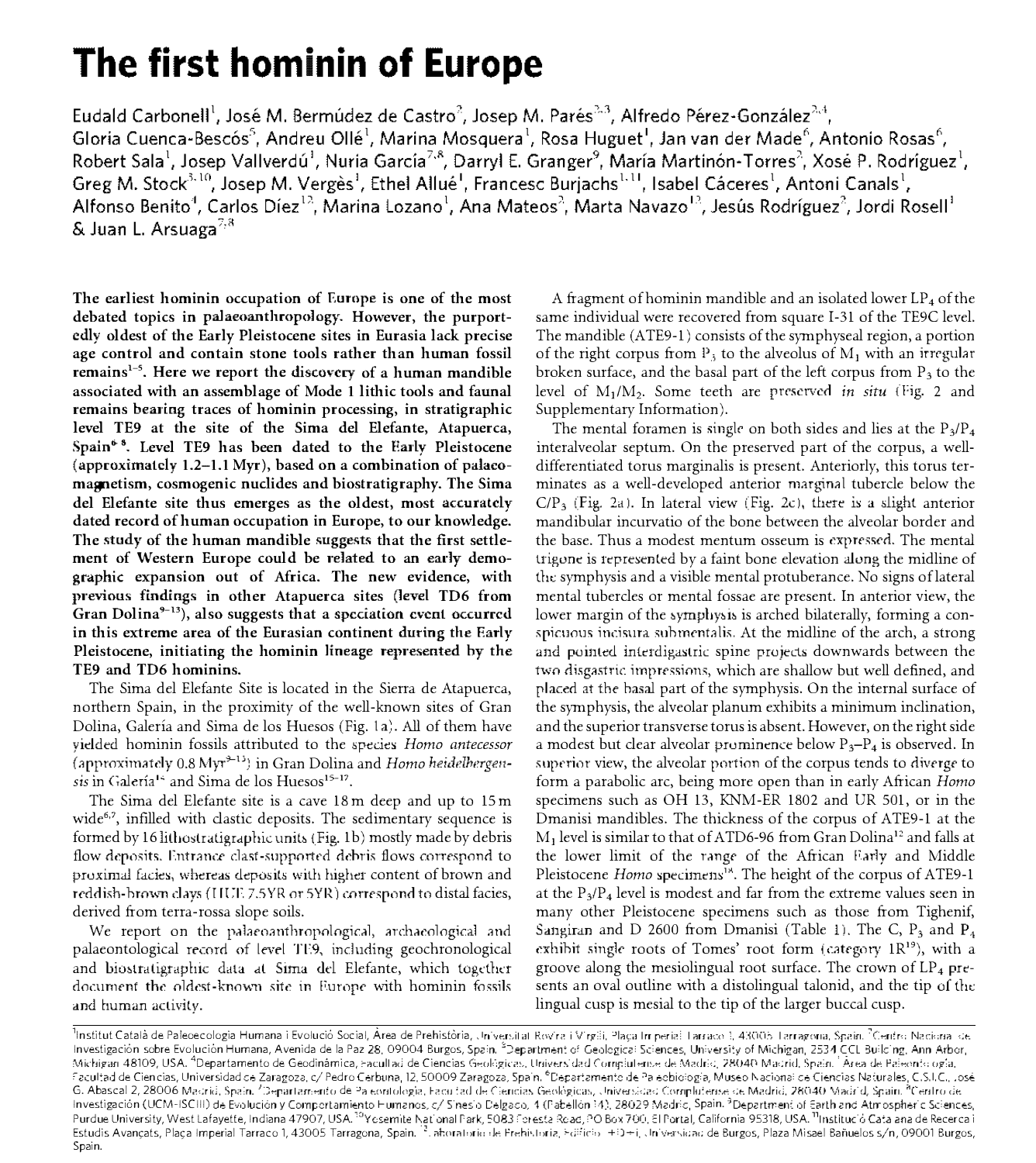## The first hominin of Europe

Eudald Carbonell<sup>1</sup>, José M. Bermúdez de Castro<sup>2</sup>, Josep M. Parés<sup>2,3</sup>, Alfredo Pérez-González<sup>2,4</sup>, Gloria Cuenca-Bescós<sup>5</sup>, Andreu Ollé<sup>1</sup>, Marina Mosquera<sup>1</sup>, Rosa Huguet<sup>1</sup>, Jan van der Made<sup>6</sup>, Antonio Rosas<sup>6</sup>, Robert Sala<sup>1</sup>, Josep Vallverdú<sup>1</sup>, Nuria García<sup>7,8</sup>, Darryl E. Granger<sup>9</sup>, María Martinón-Torres<sup>2</sup>, Xosé P. Rodríguez<sup>1</sup>, Greg M. Stock<sup>3,10</sup>, Josep M. Vergès<sup>1</sup>, Ethel Allué<sup>1</sup>, Francesc Burjachs<sup>1,11</sup>, Isabel Cáceres<sup>1</sup>, Antoni Canals<sup>1</sup>, Alfonso Benito<sup>4</sup>, Carlos Díez<sup>12</sup>, Marina Lozano<sup>1</sup>, Ana Mateos<sup>2</sup>, Marta Navazo<sup>12</sup>, Jesús Rodríguez<sup>2</sup>, Jordi Rosell<sup>1</sup> & Juan L. Arsuaga<sup>7,8</sup>

The earliest hominin occupation of Europe is one of the most debated topics in palaeoanthropology. However, the purportedly oldest of the Early Pleistocene sites in Eurasia lack precise age control and contain stone tools rather than human fossil remains<sup>1-5</sup>. Here we report the discovery of a human mandible associated with an assemblage of Mode 1 lithic tools and faunal remains bearing traces of hominin processing, in stratigraphic level TE9 at the site of the Sima del Elefante, Atapuerca, Spain<sup>6</sup><sup>8</sup>. Level TE9 has been dated to the Early Pleistocene (approximately 1.2-1.1 Myr), based on a combination of palaeomagnetism, cosmogenic nuclides and biostratigraphy. The Sima del Elefante site thus emerges as the oldest, most accurately dated record of human occupation in Europe, to our knowledge. The study of the human mandible suggests that the first settlement of Western Europe could be related to an early demographic expansion out of Africa. The new evidence, with previous findings in other Atapuerca sites (level TD6 from Gran Dolina<sup>9-13</sup>), also suggests that a speciation event occurred in this extreme area of the Eurasian continent during the Early Pleistocene, initiating the hominin lineage represented by the TE9 and TD6 hominins.

The Sima del Elefante Site is located in the Sierra de Atapuerca, northern Spain, in the proximity of the well-known sites of Gran Dolina, Galería and Sima de los Huesos (Fig. 1a). All of them have vielded hominin fossils attributed to the species Homo antecessor (approximately 0.8 Myr<sup>3-13</sup>) in Gran Dolina and Homo heidelbergensis in Galería<sup>14</sup> and Sima de los Huesos<sup>15-17</sup>.

The Sima del Elefante site is a cave 18 m deep and up to 15 m wide<sup> $6,7$ </sup>, infilled with clastic deposits. The sedimentary sequence is formed by 16 lithostratigraphic units (Fig. 1b) mostly made by debris flow deposits. Entrance clast-supported debris flows correspond to proximal facies, whereas deposits with higher content of brown and reddish-brown clays (HUE 7.5YR or 5YR) correspond to distal facies, derived from terra-rossa slope soils.

We report on the palaeoanthropological, archaeological and palaeontological record of level TE9, including geochronological and biostratigraphic data at Sima del Elefante, which together document the oldest-known site in Europe with hominin fossils and human activity.

A fragment of hominin mandible and an isolated lower  $LP_4$  of the same individual were recovered from square I-31 of the TE9C level. The mandible (ATE9-1) consists of the symphyseal region, a portion of the right corpus from  $P_3$  to the alveolus of  $M_1$  with an irregular broken surface, and the basal part of the left corpus from  $P_3$  to the level of M<sub>1</sub>/M<sub>2</sub>. Some teeth are preserved in situ (Fig. 2 and Supplementary Information).

The mental foramen is single on both sides and lies at the  $P_3/P_4$ interalveolar septum. On the preserved part of the corpus, a welldifferentiated torus marginalis is present. Anteriorly, this torus terminates as a well-developed anterior marginal tubercle below the  $C/P_3$  (Fig. 2a). In lateral view (Fig. 2c), there is a slight anterior mandibular incurvatio of the bone between the alveolar border and the base. Thus a modest mentum osseum is expressed. The mental trigone is represented by a faint bone elevation along the midline of the symphysis and a visible mental protuberance. No signs of lateral mental tubercles or mental fossae are present. In anterior view, the lower margin of the symphysis is arched bilaterally, forming a conspicuous incisura submentalis. At the midline of the arch, a strong and pointed interdigastric spine projects downwards between the two disgastric impressions, which are shallow but well defined, and placed at the basal part of the symphysis. On the internal surface of the symphysis, the alveolar planum exhibits a minimum inclination, and the superior transverse torus is absent. However, on the right side a modest but clear alveolar prominence below  $P_3-P_4$  is observed. In superior view, the alveolar portion of the corpus tends to diverge to form a parabolic arc, being more open than in early African Homo specimens such as OH 13, KNM-ER 1802 and UR 501, or in the Dmanisi mandibles. The thickness of the corpus of ATE9-1 at the  $M_1$  level is similar to that of ATD6-96 from Gran Dolina<sup>12</sup> and falls at the lower limit of the range of the African Farly and Middle Pleistocene Homo specimens<sup>18</sup>. The height of the corpus of ATE9-1 at the  $P_3/P_4$  level is modest and far from the extreme values seen in many other Pleistocene specimens such as those from Tighenif, Sangiran and D 2600 from Dmanisi (Table 1). The C,  $P_3$  and  $P_4$ exhibit single roots of Tomes' root form (category  $1R^{19}$ ), with a groove along the mesiolingual root surface. The crown of  $LP_4$  presents an oval outline with a distolingual talonid, and the tip of the lingual cusp is mesial to the tip of the larger buccal cusp.

<sup>1</sup>Institut Català de Paleoecologia Humana i Evolució Social, Àrea de Prehistòria, Universitat Rovira i Virgili, Plaça Imperial Tarraco 1, 43005 Tarragona, Spain. <sup>7</sup>Centro Nacional de Investigación sobre Evolución Humana, Avenida de la Paz 28, 09004 Burgos, Spain, <sup>3</sup>Department of Geologicai Sciences, University of Michigan, 2534 CCL Building, Ann Arbor, Michigan 48109, USA. <sup>4</sup>Departamento de Geodinámica, Facultad de Ciencias Geológicas, Universidad Compiutense de Madrid, 28040 Madrid, Spain. <sup>1</sup>Area de Paleonto ogía, Facultad de Ciencias, Universidad de Zaragoza, c/ Pedro Cerbuna, 12,50009 Zaragoza, Spain. <sup>6</sup>Departamento de Paleobiotogia, Museo Nacional de Ciencias Naturales, C.S.I.C., José G. Abascal 2, 28006 Macrid, Spain. "Departamento de Pa contologia, Facultad de Ciencias Geológicas, Universidad Complutense de Madrid, 28040 Madrid, Spain. <sup>a</sup>Centro de Investigación (UCM-ISCIII) de Evolución y Comportamiento Humanos, c/ Sinesio Delgaco, 4 (Pabellón 14), 28029 Madric, Spain. <sup>3</sup>Department of Earth and Atmospheric Sciences, Purdue University, West Lafayette, Indiana 47907, USA.<sup>10</sup>Ycsemite National Park, 5083 Foresta Road, PO Box 700, El Portal, California 95318, USA. <sup>11</sup>Institució Cata ana de Recerca i<br>Estudis Avançats, Plaça Imperial Tarra Spain.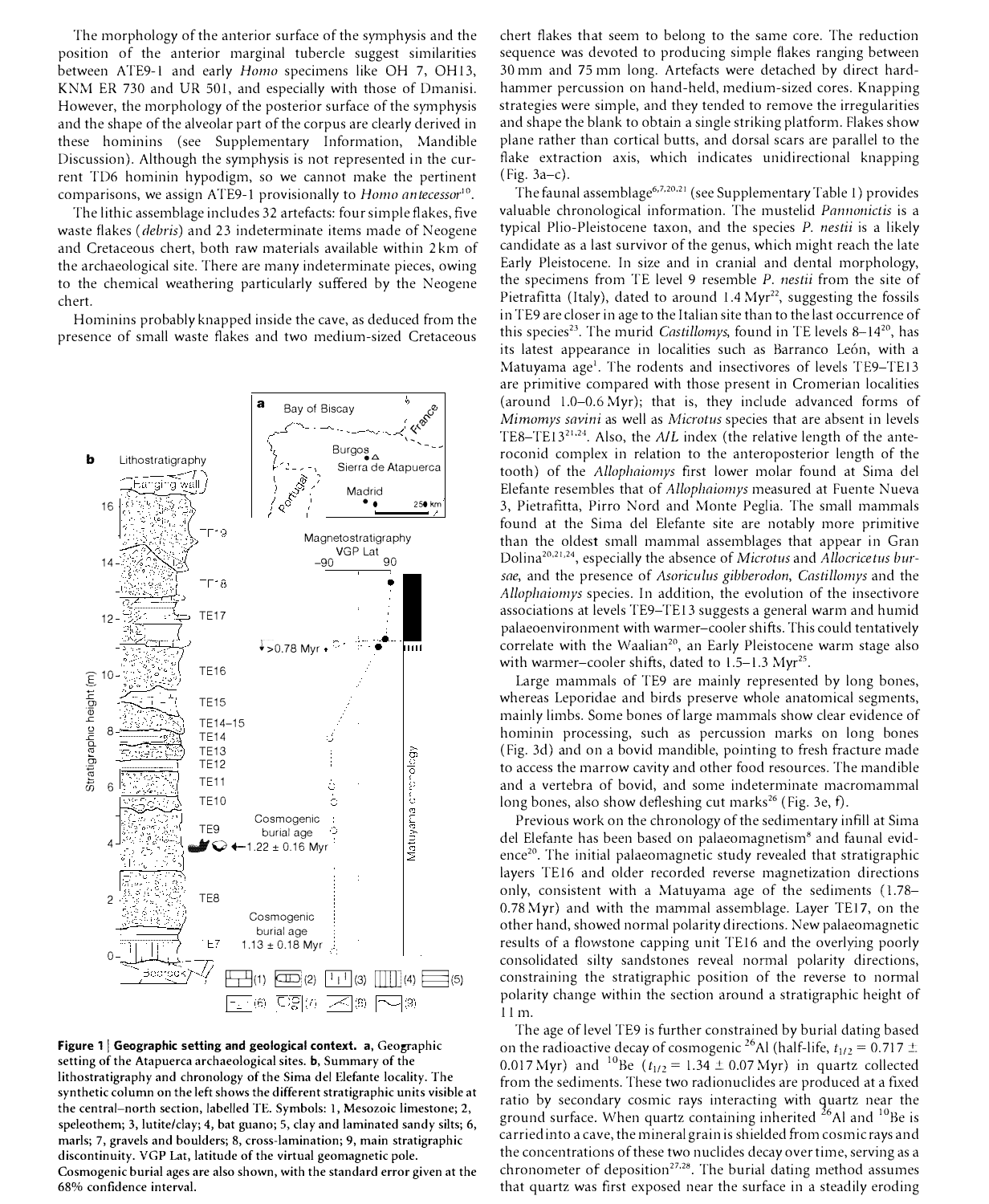The morphology of the anterior surface of the symphysis and the position of the anterior marginal tubercle suggest similarities between ATE9-1 and early Homo specimens like OH 7, OH13, KNM ER 730 and UR 501, and especially with those of Dmanisi. However, the morphology of the posterior surface of the symphysis and the shape of the alveolar part of the corpus are clearly derived in these hominins (see Supplementary Information, Mandible Discussion). Although the symphysis is not represented in the current TD6 hominin hypodigm, so we cannot make the pertinent comparisons, we assign ATE9-1 provisionally to Homo antecessor<sup>10</sup>.

The lithic assemblage includes 32 artefacts: four simple flakes, five waste flakes (debris) and 23 indeterminate items made of Neogene and Cretaceous chert, both raw materials available within 2 km of the archaeological site. There are many indeterminate pieces, owing to the chemical weathering particularly suffered by the Neogene chert.

Hominins probably knapped inside the cave, as deduced from the presence of small waste flakes and two medium-sized Cretaceous



Figure 1 | Geographic setting and geological context. a,  $Geographic$ setting of the Atapuerca archaeological sites. b, Summary of the lithostratigraphy and chronology of the Sima del Elefante locality. The synthetic column on the left shows the different stratigraphic units visible at the central-north section, labelled TE. Symbols: 1, Mesozoic limestone; 2, speleothem; 3, lutite/day; 4, bat guano; 5, clay and laminated sandy silts; 6, marls; 7, gravels and boulders; 8, cross-lamination; 9, main stratigraphic discontinuity. VGP Lat, latitude of the virtual geomagnetic pole. Cosmogenic burial ages are also shown, with the standard error given at the 68% confidence interval.

chert flakes that seem to belong to the same core. The reduction sequence was devoted to producing simple flakes ranging between 30 mm and 75 mm long. Artefacts were detached by direct hardhammer percussion on hand-held, medium-sized cores. Knapping strategies were simple, and they tended to remove the irregularities and shape the blank to obtain a single striking platform. Flakes show plane rather than cortical butts, and dorsal scars are parallel to the flake extraction axis, which indicates unidirectional knapping (Fig. 3a-c).

The faunal assemblage<sup>6,7,20,21</sup> (see Supplementary Table 1) provides valuable chronological information. The mustelid *Pannonictis* is a typical Plio-Pleistocene taxon, and the species P. nestii is a likely candidate as a last survivor of the genus, which might reach the late Early Pleistocene. In size and in cranial and dental morphology, the specimens from TE level 9 resemble P. nestii from the site of Pietrafitta (Italy), dated to around  $1.4 \, \text{Myr}^{22}$ , suggesting the fossils in TE9 are closer in age to the Italian site than to the last occurrence of this species<sup>23</sup>. The murid *Castillomys*, found in TE levels 8–14<sup>20</sup>, has its latest appearance in localities such as Barranco León, with a Matuyama age<sup>1</sup>. The rodents and insectivores of levels TE9-TE13 are primitive compared with those present in Cromerian localities (around 1.0-0.6 Myr); that is, they include advanced forms of Mimomys savini as well as Microtus species that are absent in levels TE8-TE13<sup>21,24</sup>. Also, the  $A/L$  index (the relative length of the anteroconid complex in relation to the anteroposterior length of the tooth) of the Allophaiomys first lower molar found at Sima del Elefante resembles that of Allophaiomys measured at Fuente Nueva 3, Pietrafitta, Pirro Nord and Monte Peglia. The small mammals found at the Sima del Elefante site are notably more primitive than the oldest small mammal assemblages that appear in Gran Dolina<sup>20,21,24</sup>, especially the absence of Microtus and Allocricetus bursae, and the presence of Asoriculus gibberodon, Castillomys and the Allophaiomys species. In addition, the evolution of the insectivore associations at levels TE9-TE13 suggests a general warm and humid palaeoenvironment with warmer-cooler shifts. This could tentatively correlate with the Waalian<sup>20</sup>, an Early Pleistocene warm stage also with warmer-cooler shifts, dated to  $1.5-1.3$  Myr<sup>25</sup>.

Large mammals of TE9 are mainly represented by long bones, whereas Leporidae and birds preserve whole anatomical segments, mainly limbs. Some bones of large mammals show clear evidence of hominin processing, such as percussion marks on long bones (Fig. 3d) and on a bovid mandible, pointing to fresh fracture made to access the marrow cavity and other food resources. The mandible and a vertebra of bovid, and some indeterminate macromammal long bones, also show defleshing cut marks<sup>26</sup> (Fig. 3e, f).

Previous work on the chronology of the sedimentary infill at Sima del Elefante has been based on palaeomagnetism<sup>8</sup> and faunal evidence<sup>20</sup>. The initial palaeomagnetic study revealed that stratigraphic layers TE16 and older recorded reverse magnetization directions only, consistent with a Matuyama age of the sediments (1.78- 0.78 Myr) and with the mammal assemblage. Layer TEI7, on the other hand, showed normal polarity directions. New palaeomagnetic results of a flowstone capping unit TE16 and the overlying poorly consolidated silty sandstones reveal normal polarity directions, constraining the stratigraphic position of the reverse to normal polarity change within the section around a stratigraphic height of 11 m.

The age of level TE9 is further constrained by burial dating based on the radioactive decay of cosmogenic <sup>26</sup>Al (half-life,  $t_{1/2} = 0.717 \pm 1.5$ 0.017 Myr) and <sup>10</sup>Be  $(t_{1/2} = 1.34 \pm 0.07 \text{ Myr})$  in quartz collected from the sediments. These two radionuclides are produced at a fixed ratio by secondary cosmic rays interacting with quartz near the ground surface. When quartz containing inherited  $^{26}$ Al and  $^{10}$ Be is carried into a cave, the mineral grain is shielded from cosmic rays and the concentrations of these two nuclides decay over time, serving as a chronometer of deposition<sup>27,28</sup>. The burial dating method assumes that quartz was first exposed near the surface in a steadily eroding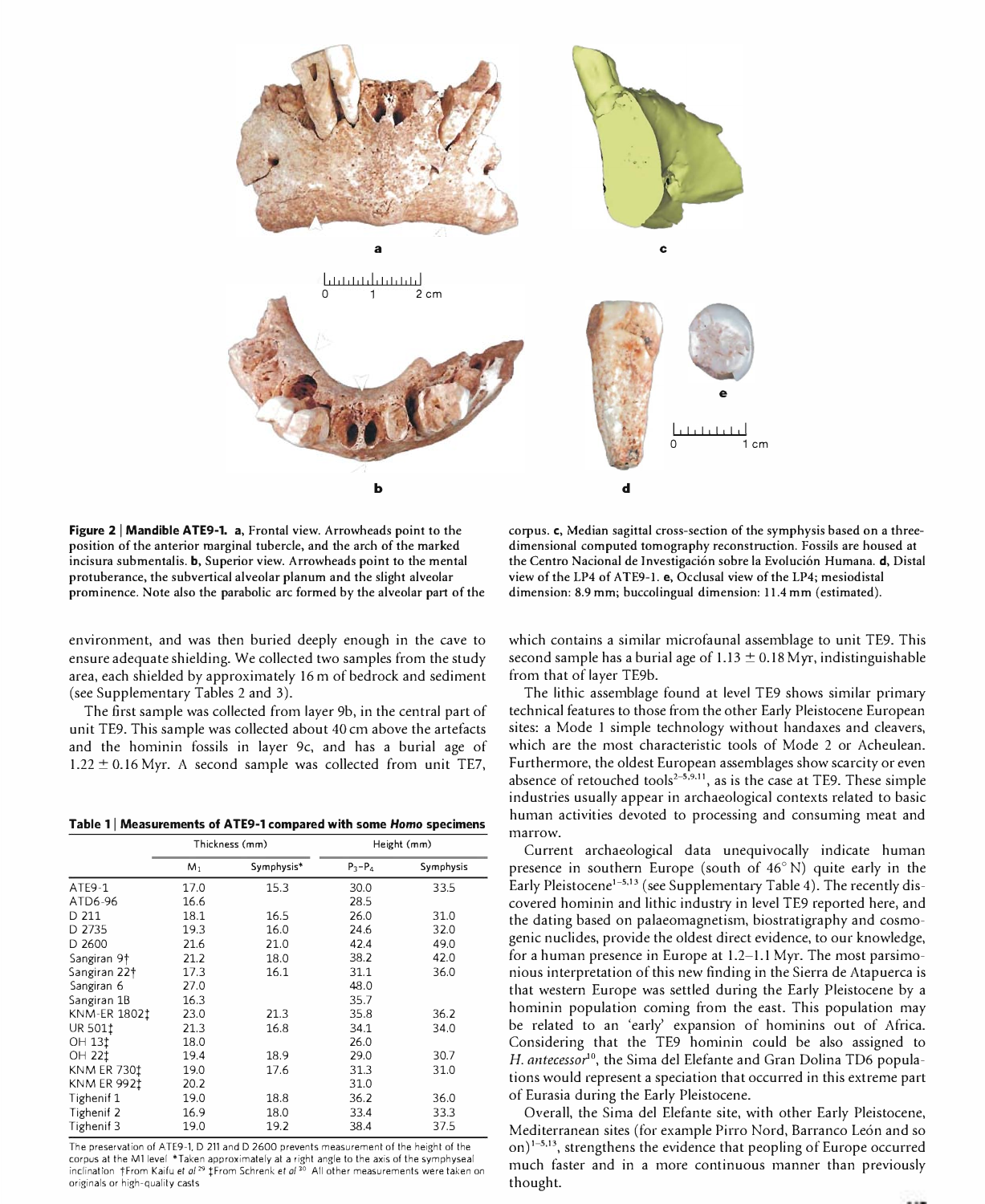

Figure 2 | Mandible ATE9-1. a. Frontal view. Arrowheads point to the position of the anterior marginal tubercle, and the arch of the marked incisura submentalis. **b**, Superior view. Arrowheads point to the mental protuberance, the subvertical alveolar planum and the slight alveolar prominence. Note also the parabolic arc formed by the alveolar part of the

environment, and was then buried deeply enough in the cave to ensure adequate shielding. We collected two samples from the study area, each shielded by approximately 16 m of bedrock and sediment (see Supplementary Tables 2 and 3).

The first sample was collected from layer 9b, in the central part of unit TE9. This sample was collected about 40 cm above the artefacts and the hominin fossils in layer 9c, and has a burial age of  $1.22 \pm 0.16$  Myr. A second sample was collected from unit TE7,

Table 1 | Measurements of ATE9-1 compared with some Homo specimens

|                          | Thickness (mm) |            | Height (mm) |           |
|--------------------------|----------------|------------|-------------|-----------|
|                          | M <sub>1</sub> | Symphysis* | $P_3 - P_4$ | Symphysis |
| ATE9-1                   | 17.0           | 15.3       | 30.0        | 33.5      |
| ATD6-96                  | 16.6           |            | 28.5        |           |
| D 211                    | 18.1           | 16.5       | 26.0        | 31.0      |
| D 2735                   | 19.3           | 16.0       | 24.6        | 32.0      |
| D 2600                   | 21.6           | 21.0       | 42.4        | 49.0      |
| Sangiran 9†              | 21.2           | 18.0       | 38.2        | 42.0      |
| Sangiran 22 <sup>+</sup> | 17.3           | 16.1       | 31.1        | 36.0      |
| Sangiran 6               | 27.0           |            | 48.0        |           |
| Sangiran 1B              | 16.3           |            | 35.7        |           |
| KNM-ER 18021             | 23.0           | 21.3       | 35.8        | 36.2      |
| UR 5011                  | 21.3           | 16.8       | 34.1        | 34.0      |
| OH 131                   | 18.0           |            | 26.0        |           |
| <b>OH 221</b>            | 19.4           | 18.9       | 29.0        | 30.7      |
| <b>KNM ER 7301</b>       | 19.0           | 17.6       | 31.3        | 31.0      |
| <b>KNM ER 9921</b>       | 20.2           |            | 31.0        |           |
| Tighenif 1               | 19.0           | 18.8       | 36.2        | 36.0      |
| Tighenif 2               | 16.9           | 18.0       | 33.4        | 33.3      |
| Tighenif 3               | 19.0           | 19.2       | 38.4        | 37.5      |

The preservation of ATE9-1. D 211 and D 2600 prevents measurement of the height of the corpus at the MI level \* laken approximately at a right angle to the axis of the symphyseal<br>inclination †From Kaifu et *al* 29 ‡From Schrenk et *a*l <sup>20</sup> All other measurements were taken on originals or high-quality casts

corpus. c, Median sagittal cross-section of the symphysis based on a threedimensional computed tomography reconstruction. Fossils are housed at the Centro Nacional de Investigación sobre la Evolución Humana. **d**. Distal view of the LP4 of ATE9-1. e, Occlusal view of the LP4; mesiodistal dimension: 8.9 mm; buccolingual dimension: 11.4 mm (estimated).

which contains a similar microfaunal assemblage to unit TE9. This second sample has a burial age of  $1.13 \pm 0.18$  Myr, indistinguishable from that of layer TE9b.

The lithic assemblage found at level TE9 shows similar primary technical features to those from the other Early Pleistocene European sites: a Mode 1 simple technology without handaxes and cleavers, which are the most characteristic tools of Mode 2 or Acheulean. Furthermore, the oldest European assemblages show scarcity or even absence of retouched tools<sup>2-5,9,11</sup>, as is the case at TE9. These simple industries usually appear in archaeological contexts related to basic human activities devoted to processing and consuming meat and marrow.

Current archaeological data unequivocally indicate human presence in southern Europe (south of 46° N) quite early in the Early Pleistocene<sup>1-5,13</sup> (see Supplementary Table 4). The recently discovered hominin and lithic industry in level TE9 reported here, and the dating based on palaeomagnetism, biostratigraphy and cosmogenic nuclides, provide the oldest direct evidence, to our knowledge, for a human presence in Europe at 1.2-1.1 Myr. The most parsimonious interpretation of this new finding in the Sierra de Atapuerca is that western Europe was settled during the Early Pleistocene by a hominin population coming from the east. This population may be related to an 'early' expansion of hominins out of Africa. Considering that the TE9 hominin could be also assigned to H. antecessor<sup>10</sup>, the Sima del Elefante and Gran Dolina TD6 populations would represent a speciation that occurred in this extreme part of Eurasia during the Early Pleistocene.

Overall, the Sima del Elefante site, with other Early Pleistocene, Mediterranean sites (for example Pirro Nord, Barranco León and so on) $1-5,13$ , strengthens the evidence that peopling of Europe occurred much taster and in a more continuous manner than previously thought.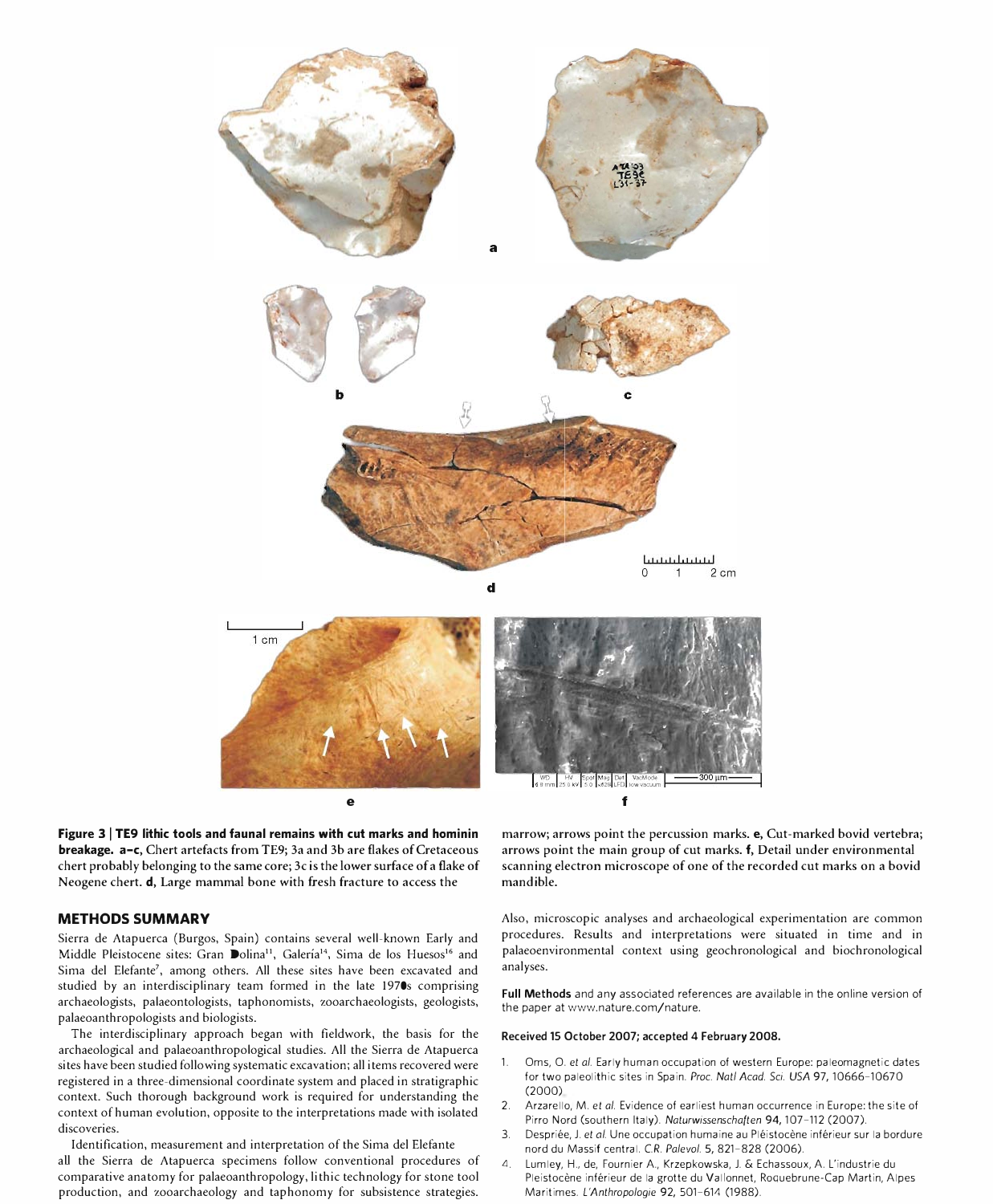

Figure  $3$  | TE9 lithic tools and faunal remains with cut marks and hominin breakage. a-c, Chert artefacts from TE9; 3a and 3b are flakes of Cretaceous chert probably belonging to the same core; 3c is the lower surface of a flake of Neogene chert. d, Large mammal bone with fresh fracture to access the

## METHODS SUMMARY

Sierra de Atapuerca (Burgos, Spain) contains several well-known Early and Middle Pleistocene sites: Gran Dolina<sup>11</sup>, Galería<sup>14</sup>, Sima de los Huesos<sup>16</sup> and Sima del Elefante', among others. All these sites have been excavated and studied by an interdisciplinary team formed in the late 1970s comprising archaeologists, palaeontologists, taphonomists, zooarchaeologists, geologists, palaeoanthropologists and biologists.

The interdisciplinary approach began with fieldwork, the basis for the archaeological and palaeoanthropological studies. All the Sierra de Atapuerca sites have been studied following systematic excavation; all items recovered were registered in a three-dimensional coordinate system and placed in stratigraphic context. Such thorough background work is required for understanding the context of human evolution, opposite to the interpretations made with isolated discoveries.

Identification, measurement and interpretation of the Sima del Elefante aU the Sierra de Atapuerca specimens follow conventional procedures of comparative anatomy for palaeoanthropology, lithic technology for stone tool production, and zooarchaeology and taphonomy for subsistence strategies.

marrow; arrows point the percussion marks. e, Cut-marked bovid vertebra; arrows point the main group of cut marks. f, Detail under environmental scanning electron microscope of one of the recorded cut marks on a bovid mandible.

Also, microscopic analyses and archaeological experimentation are common procedures. Results and interpretations were situated in time and in palaeoenvironmental context using geochronological and biochronological analyses.

Full Methods and any associated references are available in the online version of the paper at www.nature.com/nature.

## Received 15 October 2007; accepted 4 February 2008.

- 1. Oms, O. et al. Early human occupation of western Europe: paleomagnetic dates for two paleolithic sites in Spain. Proc. Nat! Acad. Sci. USA 97, 10666-10670 (2000)
- 2. Arzarello, M. et al. Evidence of earliest human occurrence in Europe: the site of Pirro Nord (southern Italy). Naturwissenschaften 94, 107-112 (2007).
- 3. Despriée, J. et al. Une occupation humaine au Pléistocène inférieur sur la bordure nord du Massif central. C.R. Palevol. 5, 821-828 (2006).
- 4. Lumley, H., de, Fournier A., Krzepkowska, J. & Echassoux, A. L'industrie du Pleistocène inférieur de la grotte du Vallonnet, Roquebrune-Cap Martin, Alpes Maritimes. L'Anthropologie 92, 501-614 (1988).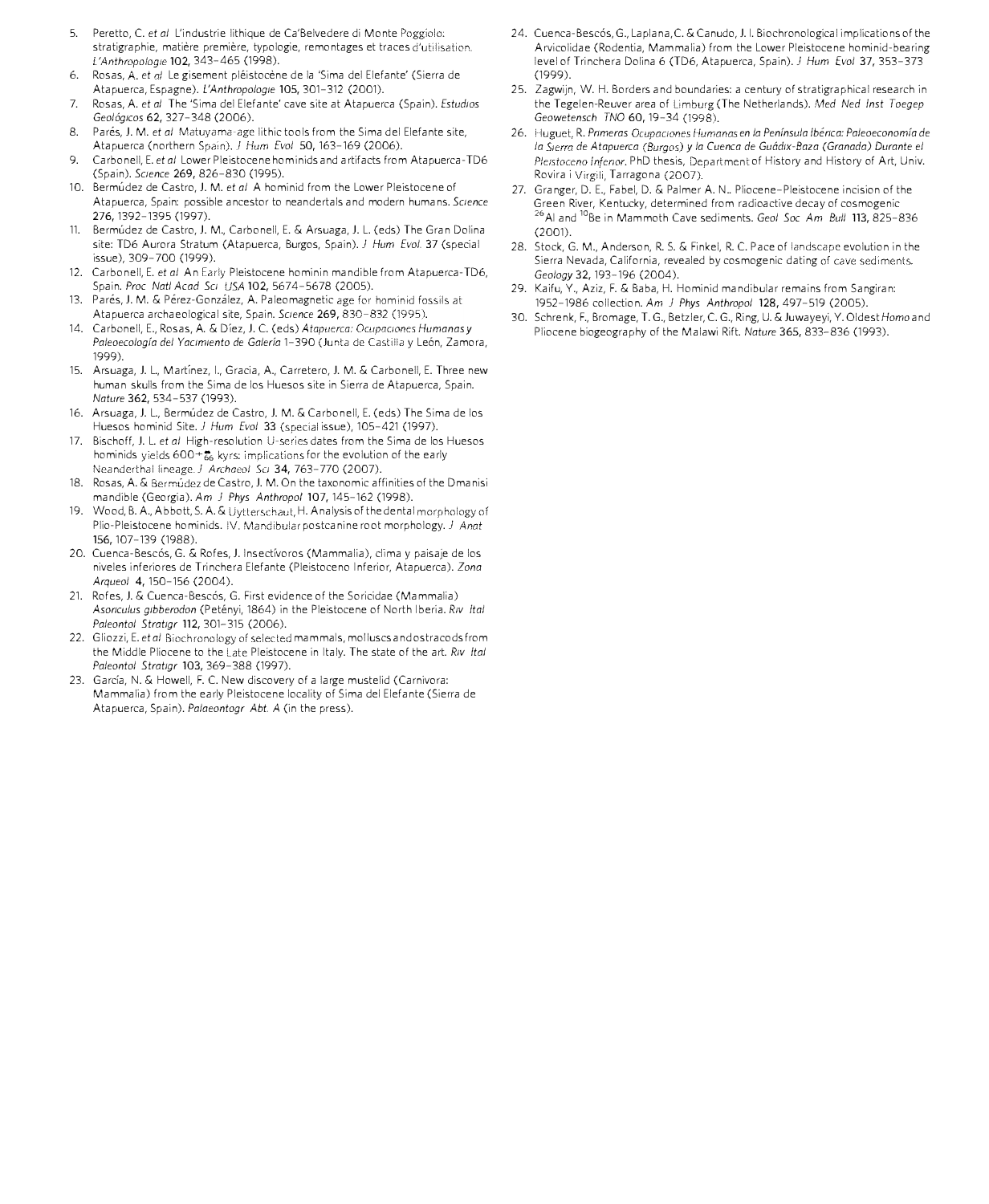- 5. Peretto, C. et al L'industrie lithique de Ca'Belvedere di Monte stratigraphie, matière première, typologie, remontages et traces d'utilisation. L'Anthropologie 102, 343-465 (1998).
- 6. Rosas, A. *et αl* Le gisement pléistocène de la 'Sima del Elefante' (Sierra de Atapuerca, Espagne). L'Anthropologie 105, 301-312 (2001).
- 7. Rosas, A. et al The 'Sima del Elefante' cave site at Atapuerca (Spain). Estudios Geológicos 62, 327-348 (2006).
- 8. Parés, J. M. et al Matuyama-age lithic tools from the Sima del Elefante site, Atapuerca (northern Spain), J Hum Evol 50, 163-169 (2006).
- 9. Carbonell, E. et al Lower Pleistocene hominids and artifacts from Atapuerca-TD6 (Spain). SCience 269,826-830 (1995).
- 10. Bermúdez de Castro, J. M. et al A hominid from the Lower Pleistocene of Atapuerca, Spain: possible ancestor to neandertals and modern humans. Science 276, 1392-1395 (1997).
- 11. Bermudez de Castro, J. M., Carbonell, E. & Arsuaga, J. L. (eds) The Gran Dolina site: TD6 Aurora Stratum (Atapuerca, Burgos, Spain). J Hum Evol. 37 (special issue), 309-700 (1999).
- 12. Carbonell, E. et al An Early Pleistocene hominin mandible from Atapuerca-TD6, Spain. Proc Natl Acad Sci USA 102, 5674-5678 (2005).
- 13. Parés, J. M. & Pérez-González, A. Paleomagnetic age for hominid fossils at Atapuerca archaeological site, Spain. Science 269, 830-832 (1995).
- 14. Carbonell, E., Rosas, A. & Díez, J. C. (eds) Atapuerca: Ocupaciones Humanas y Paleoecología del Yacimiento de Galería 1-390 (Junta de Castilla y León, Zamora, 1999).
- 15. Arsuaga, J. L., Martinez, I., Gracia, A., Carretero, J. M. & Carbonell, E. Three new human skulls from the Sima de los Huesos site in Sierra de Atapuerca, Spain. Nature 362, 534-537 (1993).
- 16. Arsuaga, J. L., Bermúdez de Castro, J. M. & Carbonell, E. (eds) The Sima de los Huesos hominid Site. J Hum Evol 33 (special issue), 105-421 (1997).
- 17. Bischoff, J. L. et al High-resolution U-series dates from the Sima de los Huesos hominids yields  $600 + \frac{2}{66}$  kyrs; implications for the evolution of the early Neanderthal lineage. J Archaeol Sci 34, 763-770 (2007).
- 18. Rosas, A. & Bermúdez de Castro, J. M. On the taxonomic affinities of the Dmanisi mandible (Georgia). Am J Phys Anthropol 107, 145-162 (1998).
- 19. Wood, B. A., Abbott, S. A. & Uytterschaut, H. Analysis of the dental morphology of Plio-Pleistocene hominids. IV. Mandibular postcanine root morphology. J Anat 156,107-139 (1988).
- 20. Cuenca-Bescós, G. & Rofes, J. Insectívoros (Mammalia), clima y paisaje de los niveles inferiores de Trinchera Elefante (Pleistoceno Inferior, Atapuerca). Zona Arqueol 4, 150-156 (2004).
- 21. Rofes, J. & Cuenca-Bescós, G. First evidence of the Soricidae (Mammalia) Asoriculus gibberodon (Petényi, 1864) in the Pleistocene of North Iberia. Riv Ital Paleontol Stratigr 112, 301-315 (2006).
- 22. Gliozzi, E. et al Biochronology of selected mammals, molluscs and ostracods from the Middle Pliocene to the Late Pleistocene in Italy. The state of the art. Riv Ital Paleontol Stratigr 103, 369-388 (1997).
- 23. Garcia, N. & Howell, F. C. New discovery of a large mustelid (Carnivora: Mammalia) from the early Pleistocene locality of Sima del Elefante (Sierra de Atapuerca, Spain). Palaeontogr Abt. A (in the press).
- 24. Cuenca-Bescós, G., Laplana, C. & Canudo, J. I. Biochronological implications of the Arvicolidae ( Rodentia, Mammalia) from the Lower Pleistocene hominid-bearing level of Trinchera Dolina 6 (TD6, Atapuerca, Spain). J Hum Evol 37, 353-373 (1999).
- 25. Zagwijn, W. H. Borders and boundaries: a century of stratigraphical research in the Tegelen-Reuver area of Limburg (The Netherlands). Med Ned Inst Toegep Geowetensch TNO 60, 19-34 (1998).
- 26. Huguet, R. Primeras Ocupaciones Humanas en la Península Ibérica: Paleoeconomía de la Sierra de Atapuerca (Burgos) y la Cuenca de Guádix-Baza (Granada) Durante el Pleistoceno Inferior. PhD thesis, Department of History and History of Art, Univ. Rovira i Virgili, Tarragona (2007).
- 27. Granger, D. E., Fabel, D. & Palmer A. N.. Pliocene-Pleistocene incision of the Green River, Kentucky, determined from radioactive decay of cosmogenic <sup>26</sup>AI and <sup>10</sup>Be in Mammoth Cave sediments. Geol Soc Am Bull 113, 825-836 (2001).
- 28. Stock, G. M., Anderson, R. S. & Finkel, R. C. Pace of landscape evolution in the Sierra Nevada, California, revealed by cosmogenic dating of cave sediments. Geology 32, 193-196 (2004).
- 29. Kaifu, Y., Aziz, F. & Baba, H. Hominid mandibular remains from Sangiran: 1952-1986 collection. Am J Phys Anthropol 128,497-519 (2005).
- 30. Schrenk, F., Bromage, T. G., Betzler, C. G., Ring, U. & Ju wayeyi, Y. Oldest Homo and Pliocene biogeography of the Malawi Rift. Nature 365, 833-836 (1993).